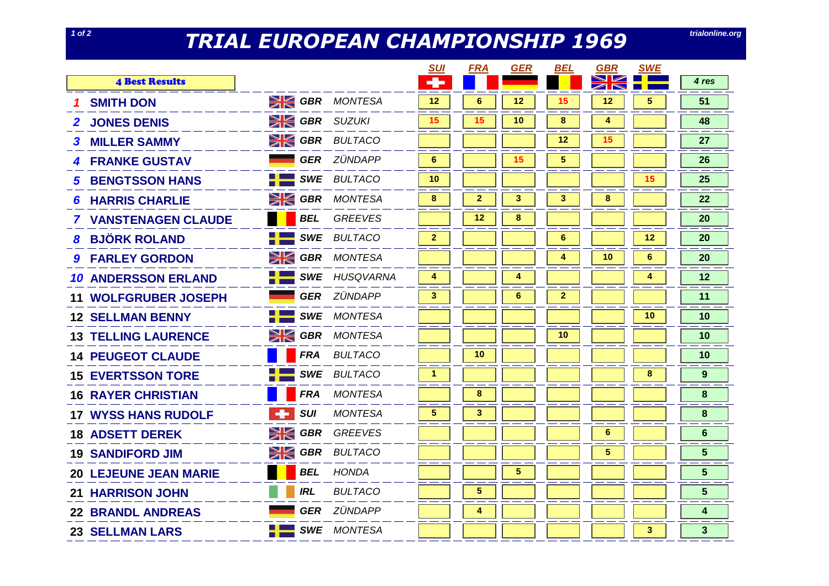## *TRIAL EUROPEAN CHAMPIONSHIP 1969* **trialonline.org**

| trialonline.org |  |  |
|-----------------|--|--|
|                 |  |  |

|                              |                |            |                       | <u>SUI</u>     | <b>FRA</b>      | <b>GER</b> | BEL          | <b>GBR</b>                                                          | <b>SWE</b>      |                 |
|------------------------------|----------------|------------|-----------------------|----------------|-----------------|------------|--------------|---------------------------------------------------------------------|-----------------|-----------------|
| <b>4 Best Results</b>        |                |            |                       | $\rightarrow$  |                 |            |              | $\blacktriangleright$<br>$\blacktriangleleft$ $\blacktriangleright$ |                 | 4 res           |
| <b>SMITH DON</b>             |                |            | <b>SIGBR</b> MONTESA  | 12             | $\bf 6$         | 12         | 15           | 12                                                                  | 5               | 51              |
| <b>2 JONES DENIS</b>         |                |            | <b>SK GBR</b> SUZUKI  | 15             | 15              | 10         | $\pmb{8}$    | 4                                                                   |                 | 48              |
| <b>3 MILLER SAMMY</b>        |                |            | <b>EX GBR</b> BULTACO |                |                 |            | 12           | 15                                                                  |                 | 27              |
| <b>4 FRANKE GUSTAV</b>       |                |            | <b>GER</b> ZÜNDAPP    | 6              |                 | 15         | 5            |                                                                     |                 | 26              |
| <b>5 BENGTSSON HANS</b>      | -1-            |            | <b>SWE BULTACO</b>    | 10             |                 |            |              |                                                                     | 15              | 25              |
| <b>6 HARRIS CHARLIE</b>      |                |            | <b>SK GBR</b> MONTESA | 8              | $\mathbf{2}$    | 3          | 3            | 8                                                                   |                 | 22              |
| <b>7 VANSTENAGEN CLAUDE</b>  |                | BEL        | <b>GREEVES</b>        |                | 12 <sup>°</sup> | 8          |              |                                                                     |                 | 20              |
| <b>8 BJÖRK ROLAND</b>        | H              |            | <b>SWE BULTACO</b>    | $\overline{2}$ |                 |            | 6            |                                                                     | 12              | 20              |
| <b>9 FARLEY GORDON</b>       | XK             |            | <b>GBR</b> MONTESA    |                |                 |            | 4            | 10 <sup>°</sup>                                                     | 6               | 20              |
| <b>10 ANDERSSON ERLAND</b>   | صلا ک          |            | <b>SWE</b> HUSQVARNA  | 4              |                 | 4          |              |                                                                     | 4               | 12              |
| <b>11 WOLFGRUBER JOSEPH</b>  |                |            | <b>GER</b> ZÜNDAPP    | $3^{\circ}$    |                 | 6          | $\mathbf{2}$ |                                                                     |                 | 11              |
| <b>12 SELLMAN BENNY</b>      | مي .<br>سر و   |            | <b>SWE</b> MONTESA    |                |                 |            |              |                                                                     | 10 <sup>°</sup> | 10              |
| <b>13 TELLING LAURENCE</b>   | $\geqslant$    |            | <b>GBR</b> MONTESA    |                |                 |            | 10           |                                                                     |                 | 10              |
| <b>14 PEUGEOT CLAUDE</b>     |                |            | <b>FRA</b> BULTACO    |                | 10              |            |              |                                                                     |                 | 10              |
| <b>15 EVERTSSON TORE</b>     |                |            | <b>SWE BULTACO</b>    | $\mathbf{1}$   |                 |            |              |                                                                     | 8               | 9               |
| <b>16 RAYER CHRISTIAN</b>    |                | <b>FRA</b> | MONTESA               |                | 8               |            |              |                                                                     |                 | 8               |
| <b>17 WYSS HANS RUDOLF</b>   | <b>Section</b> | <b>SUI</b> | <b>MONTESA</b>        | $5^{\circ}$    | 3               |            |              |                                                                     |                 | 8               |
| <b>18 ADSETT DEREK</b>       | XK             | <b>GBR</b> | GREEVES               |                |                 |            |              | 6                                                                   |                 | 6               |
| <b>19 SANDIFORD JIM</b>      | $\geqslant$    | GBR        | <b>BULTACO</b>        |                |                 |            |              | $\overline{\mathbf{5}}$                                             |                 | $5\phantom{.}$  |
| <b>20 LEJEUNE JEAN MARIE</b> |                | <b>BEL</b> | HONDA                 |                |                 | $\sqrt{5}$ |              |                                                                     |                 | $5\phantom{.0}$ |
| <b>21 HARRISON JOHN</b>      |                | <b>IRL</b> | <b>BULTACO</b>        |                | 5               |            |              |                                                                     |                 | $5\phantom{.0}$ |
| <b>22 BRANDL ANDREAS</b>     |                |            | <b>GER</b> ZÜNDAPP    |                | 4               |            |              |                                                                     |                 | 4               |
| <b>23 SELLMAN LARS</b>       | کی ج           |            | <b>SWE</b> MONTESA    |                |                 |            |              |                                                                     | 3               | 3               |
|                              |                |            |                       |                |                 |            |              |                                                                     |                 |                 |

**1 of 2**